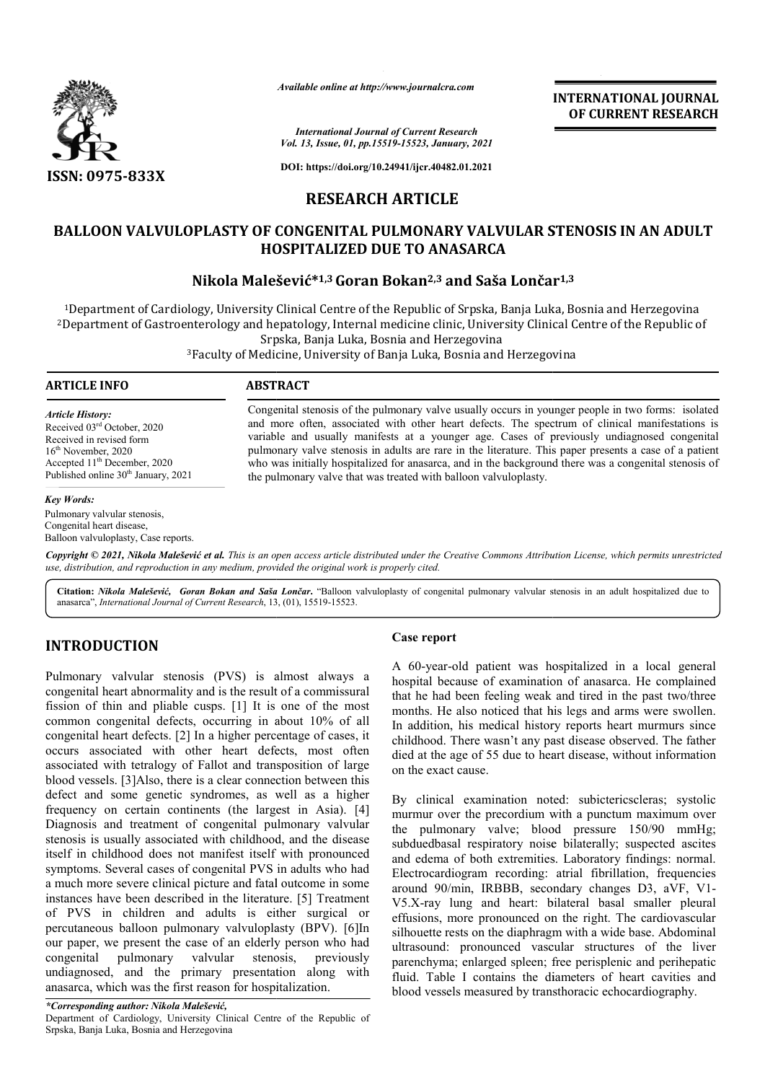

*Available online at http://www.journalcra.com*

*International Journal of Current Research Vol. 13, Issue, 01, pp.15519-15523, January, 2021* **INTERNATIONAL JOURNAL OF CURRENT RESEARCH**

**DOI: https://doi.org/10.24941/ijcr.40482.01.2021**

# **RESEARCH ARTICLE**

# BALLOON VALVULOPLASTY OF CONGENITAL PULMONARY VALVULAR STENOSIS IN AN ADULT<br>HOSPITALIZED DUE TO ANASARCA<br>Nikola Malešević\*<sup>1,3</sup> Goran Bokan<sup>2,3</sup> and Saša Lončar<sup>1,3</sup> **HOSPITALIZED DUE TO ANASARCA**

# **Nikola Malešević Malešević\*1,3Goran Bokan2,3 and Saša Lončar**

1Department of Cardiology, University Clinical Centre of the Republic of Srpska, Banja Luka, Bosnia and Herzegovina 2Department of Gastroenterology and hepatology, Internal medicine clinic, University Clinical Centre of the Republic of Srpska, Banja Luka, B <sup>1</sup>Department of Cardiology, University Clinical Centre of the Republic of Srpska, Banja Luka, Bosnia and Herzegovina<br>Department of Gastroenterology and hepatology, Internal medicine clinic, University Clinical Centre of t

3Faculty of Medicine, University of Banja Luka, Bosnia and Herzegovina Faculty

### **ARTICLE INFO ABSTRACT**

*Article History:* Received 03rd October, 2020 Received in revised form 16<sup>th</sup> November, 2020 Accepted  $11<sup>th</sup>$  December, 2020 Published online 30<sup>th</sup> January, 2021

#### *Key Words:*

Pulmonary valvular stenosis, Congenital heart disease, Balloon valvuloplasty, Case reports. Congenital stenosis of the pulmonary valve usually occurs in younger people in two forms: isolated and more often, associated with other heart defects. The spectrum of clinical manifestations is variable and usually manifests at a younger age. Cases of previously undiagnosed congenital pulmonary valve stenosis in adults are rare in the literature. This paper presents a case of a patient who was initially hospitalized for anasarca, and in the background there was a congenital stenosis of the pulmon pulmonary valve that was treated with balloon valvuloplasty.

Copyright © 2021, Nikola Malešević et al. This is an open access article distributed under the Creative Commons Attribution License, which permits unrestrictea *use, distribution, and reproduction in any medium, provided the original work is properly cited.*

Citation: Nikola Malešević, Goran Bokan and Saša Lončar. "Balloon valvuloplasty of congenital pulmonary valvular stenosis in an adult hospitalized due to anasarca", *International Journal of Current Research*, 13 3, (01), 15519-15523.

# **INTRODUCTION**

Pulmonary valvular stenosis (PVS) is almost always a congenital heart abnormality and is the result of a commissural fission of thin and pliable cusps. [1] It is one of the most common congenital defects, occurring in about 10% of all congenital heart defects. [2] In a higher percentage of cases, it occurs associated with other heart defects, most often associated with tetralogy of Fallot and transposition of large blood vessels. [3]Also, there is a clear connection between this defect and some genetic syndromes, as well as a higher frequency on certain continents (the largest in Asia). [4] Diagnosis and treatment of congenital pulmonary valvular stenosis is usually associated with childhood, and the disease itself in childhood does not manifest itself with pronounced symptoms. Several cases of congenital PVS in adults who had a much more severe clinical picture and fatal outcome in some instances have been described in the literature. [5] Treatment of PVS in children and adults is either surgical or percutaneous balloon pulmonary valvuloplasty (BPV). [6]In our paper, we present the case of an elderly person who had congenital pulmonary valvular stenosis, previously undiagnosed, and the primary presentation along with anasarca, which was the first reason for hospitalization. **Case report**<br> **Case report**<br>
a case report<br>
a case in this set of a commissural<br>
that he had<br>
alsps. [1] It is one of the most<br>
months. He<br>
occurring in about 10% of all<br>
in addition,<br>
a higher percentage of cases, it<br>
ch

A 60-year-old patient was hospitalized in a local general hospital because of examination of anasarca. He complained that he had been feeling weak and tired in the months. He also noticed that his legs and arms were swollen. In addition, his medical history reports heart murmurs since childhood. There wasn't any past disease observed. The father died at the age of 55 due to heart disease, without information on the exact cause. A 60-year-old patient was hospitalized in a local general hospital because of examination of anasarca. He complained that he had been feeling weak and tired in the past two/three

By clinical examination noted: subictericscleras; systolic murmur over the precordium with a punctum maximum over died at the age of 55 due to heart disease, without information<br>on the exact cause.<br>By clinical examination noted: subictericscleras; systolic<br>murmur over the precordium with a punctum maximum over<br>the pulmonary valve; blo subduedbasal respiratory noise bilaterally; suspected ascites and edema of both extremities. Laboratory findings: normal. Electrocardiogram recording: atrial fibrillation, frequencies around 90/min, IRBBB, secondary changes D3, aVF, V1-V5.X-ray lung and heart: bilateral basal smaller pleural effusions, more pronounced on the right. The cardiovascular silhouette rests on the diaphragm with a wide base. Abdominal ultrasound: pronounced vascular structures of the liver parenchyma; enlarged spleen; free perisplenic and perihepatic fluid. Table I contains the diameters of heart cavities and blood vessels measured by transthoracic echocardiography. ay lung and heart: bilateral basal smaller pleural<br>ns, more pronounced on the right. The cardiovascular<br>tte rests on the diaphragm with a wide base. Abdominal **INTERNATIONAL JOURNAL FORMATIONAL JOURNAL FORMATIONAL SUBMINAL SUBMINAL TRESTARCHEAR (STENOSIS) AMPAID AND ADULT AND FORMATION ARRY VALIVILAR STENOSIS IN AN ADULT ETO ANASARCA (Nam<sup>2,3</sup> and Saša Lončar<sup>1,3</sup> and Sasa Lonč**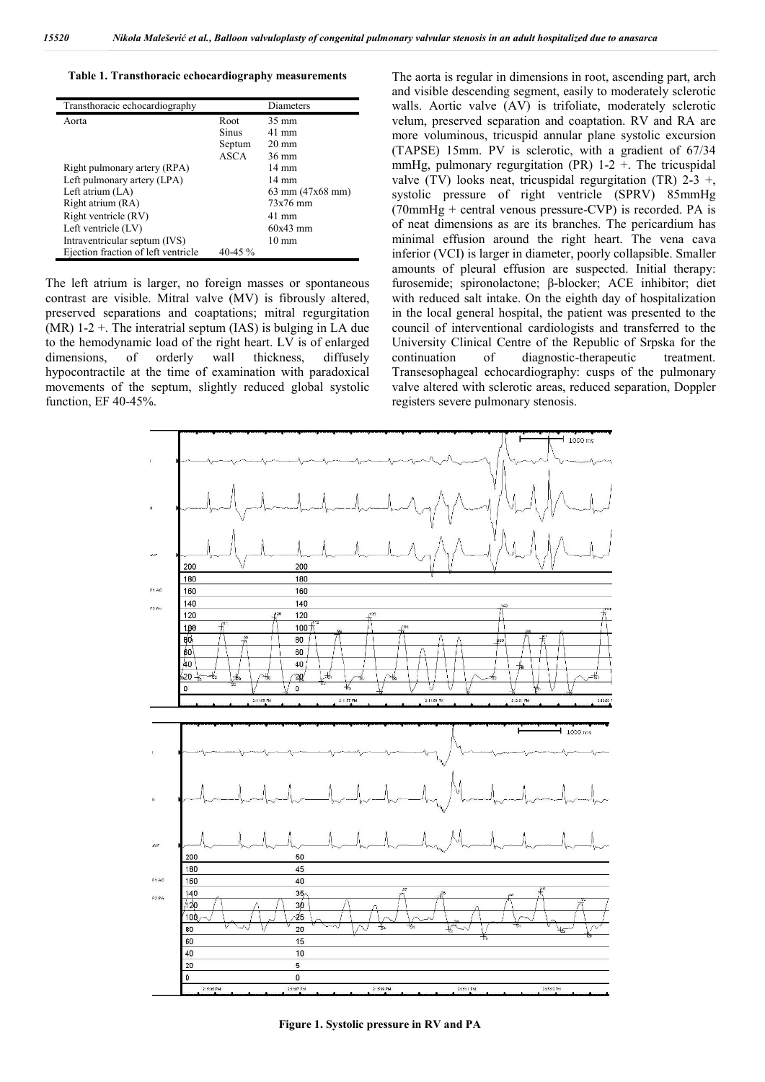**Table 1. Transthoracic echocardiography measurements**

| Transthoracic echocardiography      |              | Diameters                          |
|-------------------------------------|--------------|------------------------------------|
| Aorta                               | Root         | 35 mm                              |
|                                     | <b>Sinus</b> | $41 \text{ mm}$                    |
|                                     | Septum       | $20 \text{ mm}$                    |
|                                     | ASCA         | $36 \text{ mm}$                    |
| Right pulmonary artery (RPA)        |              | $14 \text{ mm}$                    |
| Left pulmonary artery (LPA)         |              | 14 mm                              |
| Left atrium $(LA)$                  |              | $63 \text{ mm} (47x68 \text{ mm})$ |
| Right atrium (RA)                   |              | $73x76$ mm                         |
| Right ventricle (RV)                |              | $41 \text{ mm}$                    |
| Left ventricle (LV)                 |              | $60x43$ mm                         |
| Intraventricular septum (IVS)       |              | $10 \text{ mm}$                    |
| Ejection fraction of left ventricle | 40-45 $\%$   |                                    |

The left atrium is larger, no foreign masses or spontaneous contrast are visible. Mitral valve (MV) is fibrously altered, preserved separations and coaptations; mitral regurgitation (MR)  $1-2$  +. The interatrial septum (IAS) is bulging in LA due to the hemodynamic load of the right heart. LV is of enlarged dimensions, of orderly wall thickness, diffusely hypocontractile at the time of examination with paradoxical movements of the septum, slightly reduced global systolic function, EF 40-45%.

The aorta is regular in dimensions in root, ascending part, arch and visible descending segment, easily to moderately sclerotic walls. Aortic valve (AV) is trifoliate, moderately sclerotic velum, preserved separation and coaptation. RV and RA are more voluminous, tricuspid annular plane systolic excursion (TAPSE) 15mm. PV is sclerotic, with a gradient of 67/34 mmHg, pulmonary regurgitation (PR)  $1-2 +$ . The tricuspidal valve (TV) looks neat, tricuspidal regurgitation (TR)  $2-3 +$ , systolic pressure of right ventricle (SPRV) 85mmHg (70mmHg + central venous pressure-CVP) is recorded. PA is of neat dimensions as are its branches. The pericardium has minimal effusion around the right heart. The vena cava inferior (VCI) is larger in diameter, poorly collapsible. Smaller amounts of pleural effusion are suspected. Initial therapy: furosemide; spironolactone; β-blocker; ACE inhibitor; diet with reduced salt intake. On the eighth day of hospitalization in the local general hospital, the patient was presented to the council of interventional cardiologists and transferred to the University Clinical Centre of the Republic of Srpska for the continuation of diagnostic-therapeutic treatment. Transesophageal echocardiography: cusps of the pulmonary valve altered with sclerotic areas, reduced separation, Doppler registers severe pulmonary stenosis.



**Figure 1. Systolic pressure in RV and PA**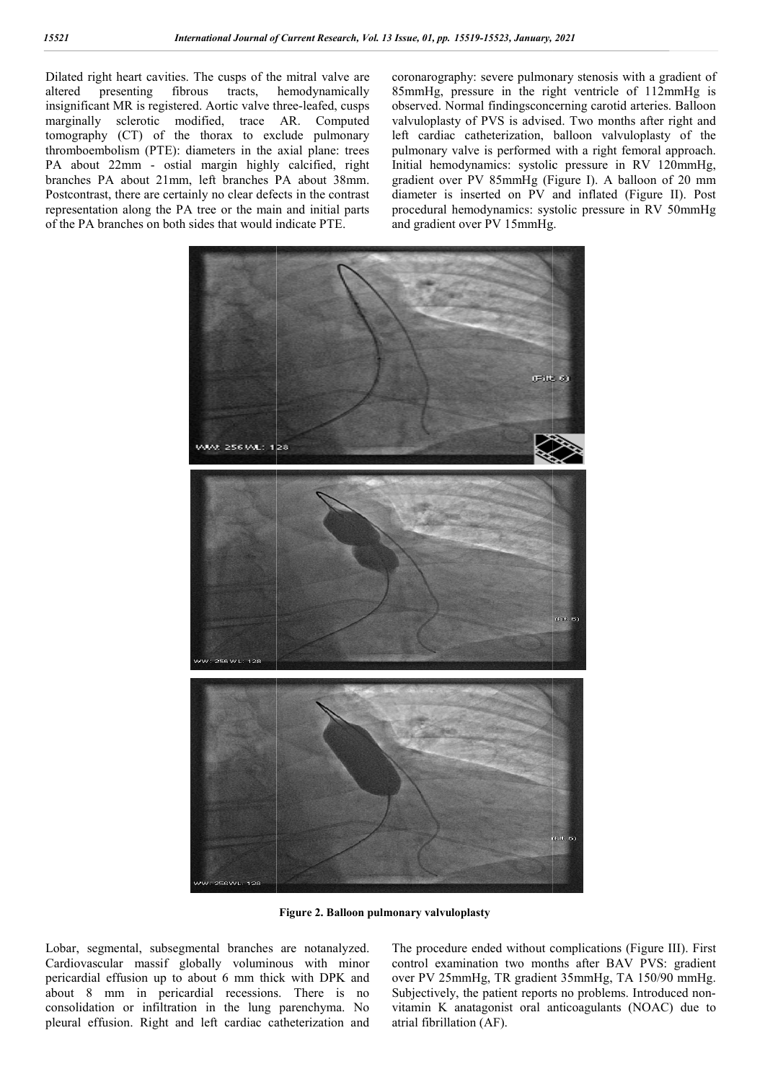Dilated right heart cavities. The cusps of the mitral valve are altered presenting fibrous tracts, hemodynamically insignificant MR is registered. Aortic valve three-leafed, cusps marginally sclerotic modified, trace AR. Computed tomography (CT) of the thorax to exclude pulmonary thromboembolism (PTE): diameters in the axial plane: trees PA about 22mm - ostial margin highly calcified, right branches PA about 21mm, left branches PA about 38mm. Postcontrast, there are certainly no clear defects in the contrast representation along the PA tree or the main and initial parts of the PA branches on both sides that would indicate PTE.

coronarography: severe pulmonary stenosis with a gradient of 85mmHg, pressure in the right ventricle of 112mmHg is observed. Normal findingsconcerning carotid arteries. Balloon valvuloplasty of PVS is advised. Two months after right and left cardiac catheterization, balloon valvuloplasty of the pulmonary valve is performed with a right femoral approach. Initial hemodynamics: systolic pressure in RV 120mmHg, gradient over PV 85mmHg (Figure I) I). A balloon of 20 mm diameter is inserted on PV and inflated (Figure II). Post procedural hemodynamics: systolic pressure in RV 50mmHg and gradient over PV 15mmHg. narography: severe pulmonary stenosis with a gradient of mHg, pressure in the right ventricle of 112mmHg is rved. Normal findingsconcerning carotid arteries. Balloon uloplasty of PVS is advised. Two months after right and rdiac catheterization, balloon valvuloplasty of the<br>hary valve is performed with a right femoral approach.<br>hemodynamics: systolic pressure in RV 120mmHg,



**Figure 2. Balloon pulmonary valvuloplasty**

Lobar, segmental, subsegmental branches are notanalyzed. Cardiovascular massif globally voluminous with minor pericardial effusion up to about 6 mm thick with DPK and about 8 mm in pericardial recessions. There is no consolidation or infiltration in the lung parenchyma. No pleural effusion. Right and left cardiac catheterization and The procedure ended without complications (Figure III). First control examination two months after BAV PVS: gradient over PV 25mmHg, TR gradient 35mmHg, TA 150/90 mmHg. control examination two months after BAV PVS: gradient over PV 25mmHg, TR gradient 35mmHg, TA 150/90 mmHg.<br>Subjectively, the patient reports no problems. Introduced nonvitamin K anatagonist oral anticoagulants (NOAC) due to atrial fibrillation (AF).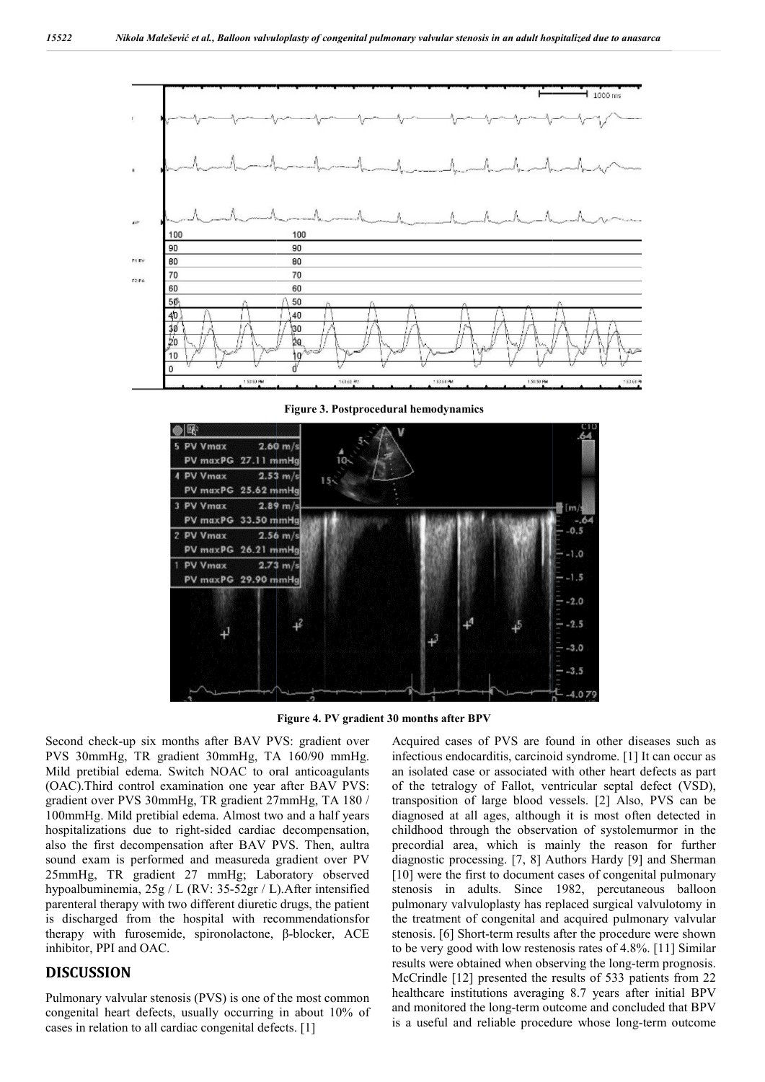

**Figure 3. Postprocedural hemodynamics**



**Figure 4. PV gradient 30 months after BPV**

Second check-up six months after BAV PVS: gradient over PVS 30mmHg, TR gradient 30mmHg, TA 160/90 mmHg. Mild pretibial edema. Switch NOAC to oral anticoagulants (OAC).Third control examination one year after BAV PVS: gradient over PVS 30mmHg, TR gradient 27mmHg, TA 180 / 100mmHg. Mild pretibial edema. Almost two and a half years hospitalizations due to right-sided cardiac decompensation, also the first decompensation after BAV PVS. Then, aultra sound exam is performed and measureda gradient over PV 25mmHg, TR gradient 27 mmHg; Laboratory observed hypoalbuminemia, 25g / L (RV: 35-52gr / L).After intensified parenteral therapy with two different diuretic drugs, the patient is discharged from the hospital with recommendationsfor therapy with furosemide, spironolactone, β-blocker, ACE inhibitor, PPI and OAC. up six months after BAV PVS: gradient over<br>
I, TR gradient 30mmHg, TA 160/90 mmHg,<br>
edema. Switch NOAC to oral anticoagulants<br>
control examination one year after BAV PVS:<br>
PVS 30mmHg, TR gradient 27mmHg, TA 180 /<br>
Id preti  $52gr / L$ ). After intensified<br>idiuretic drugs, the patient<br>with recommendationsfor<br>lactone,  $\beta$ -blocker, ACE

### **DISCUSSION**

Pulmonary valvular stenosis (PVS) is one of the most common congenital heart defects, usually occurring in about 10% of cases in relation to all cardiac congenital defects. [1]

Acquired cases of PVS are found in other diseases such as infectious endocarditis, carcinoid syndrome. [1] It can occur as an isolated case or associated with other heart defects as part of the tetralogy of Fallot, ventricular septal defect (VSD), transposition of large blood vessels. [2] Also, PVS can be diagnosed at all ages, although it is most often detected in childhood through the observation of systolemurmor in the precordial area, which is mainly the reason for further diagnostic processing. [7, 8] Authors Hardy [9] and Sherman [10] were the first to document cases of congenital pulmonary stenosis in adults. Since 1982, percutaneous balloon pulmonary valvuloplasty has replaced surgical valvulotomy in the treatment of congenital and acquired pulmonary valvular stenosis. [6] Short-term results after the procedure were shown to be very good with low restenosis rates of 4.8%. [11] Similar stenosis. [6] Short-term results after the procedure were shown<br>to be very good with low restenosis rates of 4.8%. [11] Similar<br>results were obtained when observing the long-term prognosis. McCrindle [12] presented the results of 533 patients from 22 healthcare institutions averaging 8.7 years after initial BPV and monitored the long-term outcome and concluded that BPV and monitored the long-term outcome and concluded that BPV is a useful and reliable procedure whose long-term outcome an isolated case or associated with other heart defects as part<br>of the tetralogy of Fallot, ventricular septal defect (VSD),<br>transposition of large blood vessels. [2] Also, PVS can be<br>diagnosed at all ages, although it is